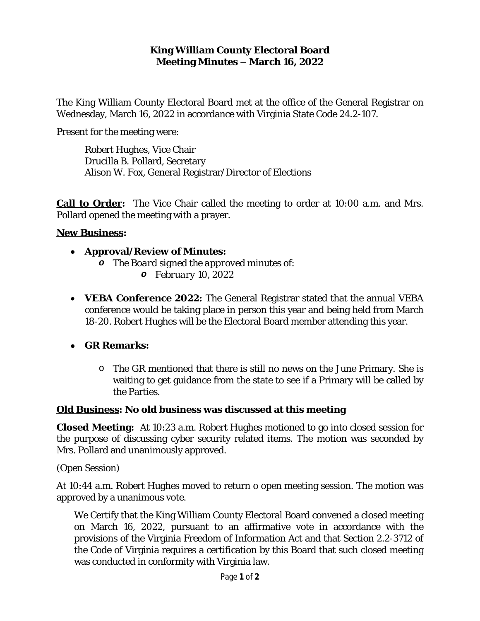## **King William County Electoral Board Meeting Minutes – March 16, 2022**

The King William County Electoral Board met at the office of the General Registrar on Wednesday, March 16, 2022 in accordance with Virginia State Code 24.2-107.

Present for the meeting were:

Robert Hughes, Vice Chair Drucilla B. Pollard, Secretary Alison W. Fox, General Registrar/Director of Elections

**Call to Order:** The Vice Chair called the meeting to order at 10:00 a.m. and Mrs. Pollard opened the meeting with a prayer.

## **New Business:**

- **Approval/Review of Minutes:**
	- *o The Board signed the approved minutes of: o February 10, 2022*
- **VEBA Conference 2022:** The General Registrar stated that the annual VEBA conference would be taking place in person this year and being held from March 18-20. Robert Hughes will be the Electoral Board member attending this year.

**GR Remarks:**

o The GR mentioned that there is still no news on the June Primary. She is waiting to get guidance from the state to see if a Primary will be called by the Parties.

## **Old Business: No old business was discussed at this meeting**

**Closed Meeting:** At 10:23 a.m. Robert Hughes motioned to go into closed session for the purpose of discussing cyber security related items. The motion was seconded by Mrs. Pollard and unanimously approved.

(Open Session)

At 10:44 a.m. Robert Hughes moved to return o open meeting session. The motion was approved by a unanimous vote.

We Certify that the King William County Electoral Board convened a closed meeting on March 16, 2022, pursuant to an affirmative vote in accordance with the provisions of the Virginia Freedom of Information Act and that Section 2.2-3712 of the Code of Virginia requires a certification by this Board that such closed meeting was conducted in conformity with Virginia law.